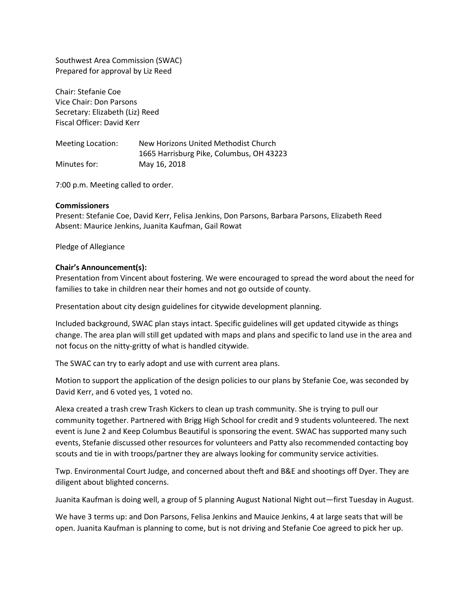Southwest Area Commission (SWAC) Prepared for approval by Liz Reed

Chair: Stefanie Coe Vice Chair: Don Parsons Secretary: Elizabeth (Liz) Reed Fiscal Officer: David Kerr

Meeting Location: New Horizons United Methodist Church 1665 Harrisburg Pike, Columbus, OH 43223 Minutes for: May 16, 2018

7:00 p.m. Meeting called to order.

## **Commissioners**

Present: Stefanie Coe, David Kerr, Felisa Jenkins, Don Parsons, Barbara Parsons, Elizabeth Reed Absent: Maurice Jenkins, Juanita Kaufman, Gail Rowat

Pledge of Allegiance

## **Chair's Announcement(s):**

Presentation from Vincent about fostering. We were encouraged to spread the word about the need for families to take in children near their homes and not go outside of county.

Presentation about city design guidelines for citywide development planning.

Included background, SWAC plan stays intact. Specific guidelines will get updated citywide as things change. The area plan will still get updated with maps and plans and specific to land use in the area and not focus on the nitty-gritty of what is handled citywide.

The SWAC can try to early adopt and use with current area plans.

Motion to support the application of the design policies to our plans by Stefanie Coe, was seconded by David Kerr, and 6 voted yes, 1 voted no.

Alexa created a trash crew Trash Kickers to clean up trash community. She is trying to pull our community together. Partnered with Brigg High School for credit and 9 students volunteered. The next event is June 2 and Keep Columbus Beautiful is sponsoring the event. SWAC has supported many such events, Stefanie discussed other resources for volunteers and Patty also recommended contacting boy scouts and tie in with troops/partner they are always looking for community service activities.

Twp. Environmental Court Judge, and concerned about theft and B&E and shootings off Dyer. They are diligent about blighted concerns.

Juanita Kaufman is doing well, a group of 5 planning August National Night out—first Tuesday in August.

We have 3 terms up: and Don Parsons, Felisa Jenkins and Mauice Jenkins, 4 at large seats that will be open. Juanita Kaufman is planning to come, but is not driving and Stefanie Coe agreed to pick her up.